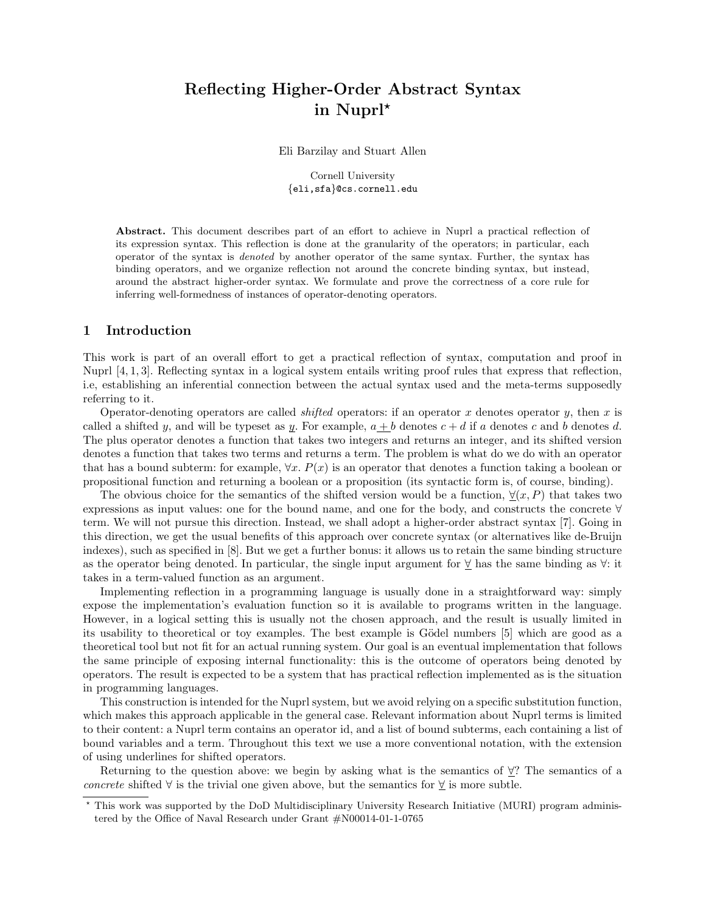# Reflecting Higher-Order Abstract Syntax in Nuprl<sup>\*</sup>

Eli Barzilay and Stuart Allen

Cornell University {eli,sfa}@cs.cornell.edu

Abstract. This document describes part of an effort to achieve in Nuprl a practical reflection of its expression syntax. This reflection is done at the granularity of the operators; in particular, each operator of the syntax is denoted by another operator of the same syntax. Further, the syntax has binding operators, and we organize reflection not around the concrete binding syntax, but instead, around the abstract higher-order syntax. We formulate and prove the correctness of a core rule for inferring well-formedness of instances of operator-denoting operators.

#### 1 Introduction

This work is part of an overall effort to get a practical reflection of syntax, computation and proof in Nuprl [4, 1, 3]. Reflecting syntax in a logical system entails writing proof rules that express that reflection, i.e, establishing an inferential connection between the actual syntax used and the meta-terms supposedly referring to it.

Operator-denoting operators are called *shifted* operators: if an operator x denotes operator y, then x is called a shifted y, and will be typeset as y. For example,  $a + b$  denotes  $c + d$  if a denotes c and b denotes d. The plus operator denotes a function that takes two integers and returns an integer, and its shifted version denotes a function that takes two terms and returns a term. The problem is what do we do with an operator that has a bound subterm: for example,  $\forall x. P(x)$  is an operator that denotes a function taking a boolean or propositional function and returning a boolean or a proposition (its syntactic form is, of course, binding).

The obvious choice for the semantics of the shifted version would be a function,  $\forall (x, P)$  that takes two expressions as input values: one for the bound name, and one for the body, and constructs the concrete ∀ term. We will not pursue this direction. Instead, we shall adopt a higher-order abstract syntax [7]. Going in this direction, we get the usual benefits of this approach over concrete syntax (or alternatives like de-Bruijn indexes), such as specified in [8]. But we get a further bonus: it allows us to retain the same binding structure as the operator being denoted. In particular, the single input argument for ∀ has the same binding as ∀: it takes in a term-valued function as an argument.

Implementing reflection in a programming language is usually done in a straightforward way: simply expose the implementation's evaluation function so it is available to programs written in the language. However, in a logical setting this is usually not the chosen approach, and the result is usually limited in its usability to theoretical or toy examples. The best example is Gödel numbers [5] which are good as a theoretical tool but not fit for an actual running system. Our goal is an eventual implementation that follows the same principle of exposing internal functionality: this is the outcome of operators being denoted by operators. The result is expected to be a system that has practical reflection implemented as is the situation in programming languages.

This construction is intended for the Nuprl system, but we avoid relying on a specific substitution function, which makes this approach applicable in the general case. Relevant information about Nuprl terms is limited to their content: a Nuprl term contains an operator id, and a list of bound subterms, each containing a list of bound variables and a term. Throughout this text we use a more conventional notation, with the extension of using underlines for shifted operators.

Returning to the question above: we begin by asking what is the semantics of  $\forall$ ? The semantics of a concrete shifted  $\forall$  is the trivial one given above, but the semantics for  $\forall$  is more subtle.

<sup>?</sup> This work was supported by the DoD Multidisciplinary University Research Initiative (MURI) program administered by the Office of Naval Research under Grant #N00014-01-1-0765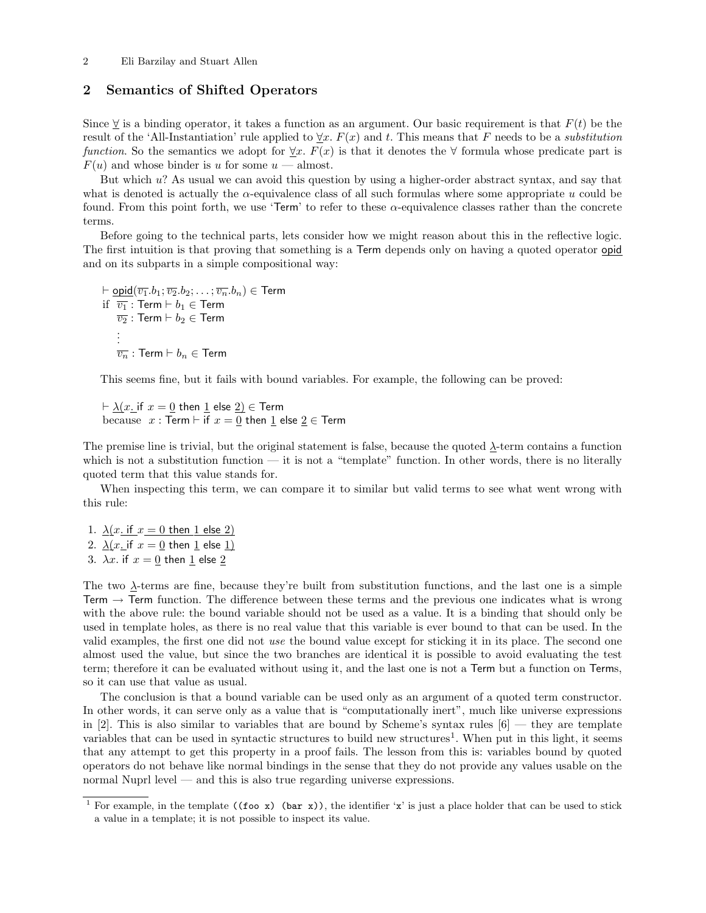#### 2 Eli Barzilay and Stuart Allen

## 2 Semantics of Shifted Operators

Since  $\forall$  is a binding operator, it takes a function as an argument. Our basic requirement is that  $F(t)$  be the result of the 'All-Instantiation' rule applied to  $\forall x. F(x)$  and t. This means that F needs to be a *substitution* function. So the semantics we adopt for  $\forall x$ .  $F(x)$  is that it denotes the  $\forall$  formula whose predicate part is  $F(u)$  and whose binder is u for some  $u$  — almost.

But which u? As usual we can avoid this question by using a higher-order abstract syntax, and say that what is denoted is actually the  $\alpha$ -equivalence class of all such formulas where some appropriate u could be found. From this point forth, we use 'Term' to refer to these α-equivalence classes rather than the concrete terms.

Before going to the technical parts, lets consider how we might reason about this in the reflective logic. The first intuition is that proving that something is a Term depends only on having a quoted operator opid and on its subparts in a simple compositional way:

```
\vdash \underline{\text{opid}}(\overline{v_1}.b_1; \overline{v_2}.b_2; \ldots; \overline{v_n}.b_n) \in \textsf{Term}if \overline{v_1}: Term \vdash b_1 \in Term
\overline{v_2}: Term \vdash b_2 \in Term
 .
 .
 .
\overline{v_n} : Term \vdash b_n \in Term
```
This seems fine, but it fails with bound variables. For example, the following can be proved:

 $\vdash \lambda(x)$  if  $x = 0$  then 1 else  $2) \in$  Term because  $x : \text{Term} \vdash \text{if } x = \underline{0}$  then  $\underline{1}$  else  $\underline{2} \in \text{Term}$ 

The premise line is trivial, but the original statement is false, because the quoted λ-term contains a function which is not a substitution function  $-$  it is not a "template" function. In other words, there is no literally quoted term that this value stands for.

When inspecting this term, we can compare it to similar but valid terms to see what went wrong with this rule:

1.  $\lambda(x \text{ if } x = 0 \text{ then } 1 \text{ else } 2)$ 2.  $\lambda(x_i$  if  $x = 0$  then 1 else 1) 3.  $\lambda x$ . if  $x = 0$  then 1 else 2

The two  $\Delta$ -terms are fine, because they're built from substitution functions, and the last one is a simple Term  $\rightarrow$  Term function. The difference between these terms and the previous one indicates what is wrong with the above rule: the bound variable should not be used as a value. It is a binding that should only be used in template holes, as there is no real value that this variable is ever bound to that can be used. In the valid examples, the first one did not use the bound value except for sticking it in its place. The second one almost used the value, but since the two branches are identical it is possible to avoid evaluating the test term; therefore it can be evaluated without using it, and the last one is not a Term but a function on Terms, so it can use that value as usual.

The conclusion is that a bound variable can be used only as an argument of a quoted term constructor. In other words, it can serve only as a value that is "computationally inert", much like universe expressions in [2]. This is also similar to variables that are bound by Scheme's syntax rules  $[6]$  — they are template variables that can be used in syntactic structures to build new structures<sup>1</sup>. When put in this light, it seems that any attempt to get this property in a proof fails. The lesson from this is: variables bound by quoted operators do not behave like normal bindings in the sense that they do not provide any values usable on the normal Nuprl level — and this is also true regarding universe expressions.

<sup>&</sup>lt;sup>1</sup> For example, in the template ((foo x) (bar x)), the identifier 'x' is just a place holder that can be used to stick a value in a template; it is not possible to inspect its value.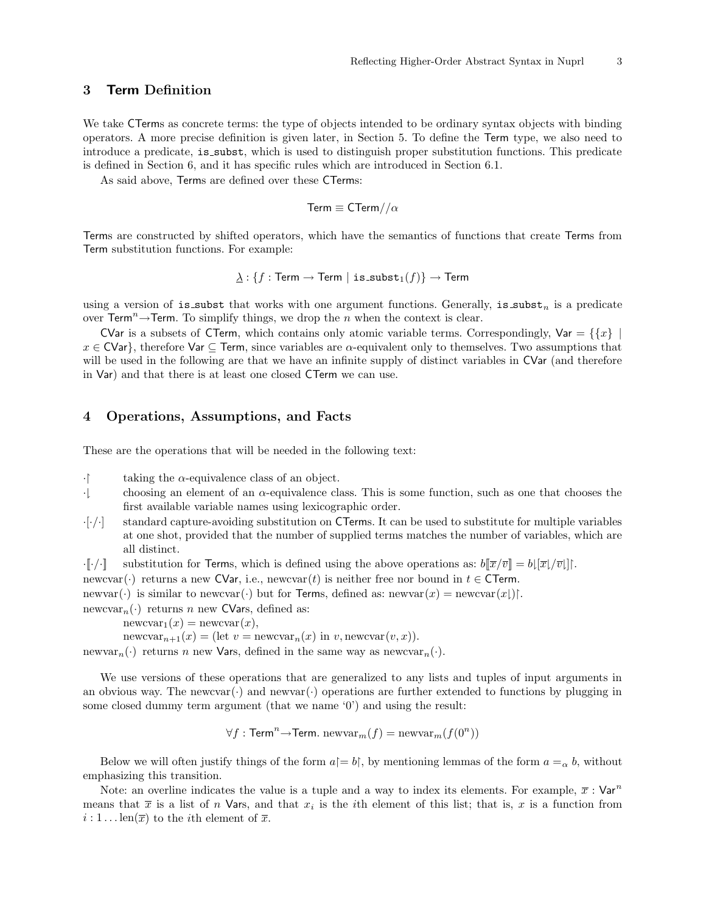# 3 Term Definition

We take CTerms as concrete terms: the type of objects intended to be ordinary syntax objects with binding operators. A more precise definition is given later, in Section 5. To define the Term type, we also need to introduce a predicate, is subst, which is used to distinguish proper substitution functions. This predicate is defined in Section 6, and it has specific rules which are introduced in Section 6.1.

As said above, Terms are defined over these CTerms:

$$
\mathsf{Term} \equiv \mathsf{CTerm} // \alpha
$$

Terms are constructed by shifted operators, which have the semantics of functions that create Terms from Term substitution functions. For example:

$$
\underline{\lambda}:\{f:\mathsf{Term}\to\mathsf{Term}\;|\;\mathsf{is\_subst}_1(f)\}\to\mathsf{Term}
$$

using a version of is subst that works with one argument functions. Generally, is subst<sub>n</sub> is a predicate over Term<sup>n</sup> $\rightarrow$ Term. To simplify things, we drop the *n* when the context is clear.

CVar is a subsets of CTerm, which contains only atomic variable terms. Correspondingly, Var =  $\{x\}$  $x \in \text{CVar}\},$  therefore Var  $\subseteq$  Term, since variables are  $\alpha$ -equivalent only to themselves. Two assumptions that will be used in the following are that we have an infinite supply of distinct variables in CVar (and therefore in Var) and that there is at least one closed CTerm we can use.

# 4 Operations, Assumptions, and Facts

These are the operations that will be needed in the following text:

· taking the  $\alpha$ -equivalence class of an object.<br>· choosing an element of an  $\alpha$ -equivalence class

- choosing an element of an  $\alpha$ -equivalence class. This is some function, such as one that chooses the first available variable names using lexicographic order.
- $\cdot$ [ $\cdot$ / $\cdot$ ] standard capture-avoiding substitution on CTerms. It can be used to substitute for multiple variables at one shot, provided that the number of supplied terms matches the number of variables, which are all distinct.
- $\cdot \llbracket \cdot / \cdot \rrbracket$  substitution for Terms, which is defined using the above operations as:  $b \llbracket \overline{x}/\overline{v} \rrbracket = b \llbracket \overline{x}/\overline{v} \rrbracket$ .

newcvar(·) returns a new CVar, i.e., newcvar(t) is neither free nor bound in  $t \in \mathsf{CTerm}$ .

newvar(·) is similar to newcvar(·) but for Terms, defined as: newvar $(x)$  = newcvar $(x)$ .

newcvar<sub>n</sub>( $\cdot$ ) returns *n* new CVars, defined as:

 $newcvar_1(x) = newcvar(x),$ 

newcvar<sub>n+1</sub>(x) = (let v = newcvar<sub>n</sub>(x) in v, newcvar(v, x)).

newvar<sub>n</sub>(·) returns n new Vars, defined in the same way as newcvar<sub>n</sub>(·).

We use versions of these operations that are generalized to any lists and tuples of input arguments in an obvious way. The newcvar( $\cdot$ ) and newvar( $\cdot$ ) operations are further extended to functions by plugging in some closed dummy term argument (that we name '0') and using the result:

 $\forall f$  : Term<sup>n</sup>→Term. newvar<sub>m</sub> $(f)$  = newvar<sub>m</sub> $(f(0^n))$ 

Below we will often justify things of the form  $a = b$ , by mentioning lemmas of the form  $a = a$ , b, without emphasizing this transition.

Note: an overline indicates the value is a tuple and a way to index its elements. For example,  $\bar{x}$ : Var<sup>n</sup> means that  $\overline{x}$  is a list of n Vars, and that  $x_i$  is the *i*th element of this list; that is, x is a function from  $i: 1 \dots \text{len}(\overline{x})$  to the *i*th element of  $\overline{x}$ .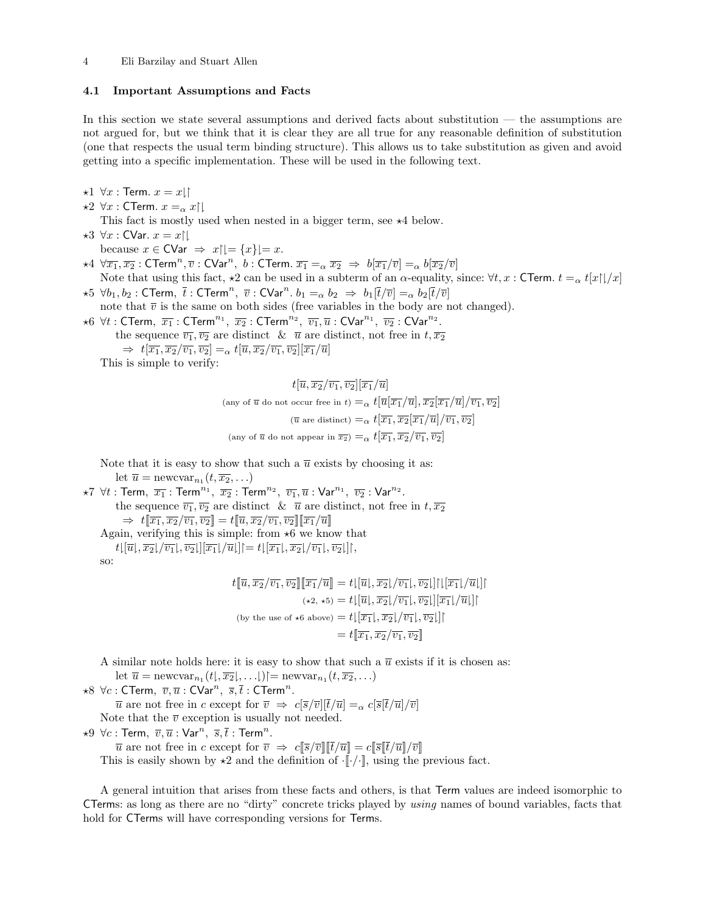#### 4.1 Important Assumptions and Facts

In this section we state several assumptions and derived facts about substitution — the assumptions are not argued for, but we think that it is clear they are all true for any reasonable definition of substitution (one that respects the usual term binding structure). This allows us to take substitution as given and avoid getting into a specific implementation. These will be used in the following text.

 $\star 1 \ \forall x : \mathsf{Term}.\ x = x \mathord{\downharpoonright}$ 

 $\star 2 \ \forall x : \mathsf{CTerm}. \ x =_\alpha x \upharpoonright \downharpoonright$ 

This fact is mostly used when nested in a bigger term, see  $\star$ 4 below.

 $\star 3 \forall x :$  CVar.  $x = x \upharpoonright \downharpoonright$ 

because  $x \in \text{CVar} \Rightarrow x \upharpoonright = \{x\} = x.$ 

- $\star$ 4  $\forall \overline{x_1}, \overline{x_2}$  : CTerm<sup>n</sup>,  $\overline{v}$  : CVar<sup>n</sup>,  $b$  : CTerm.  $\overline{x_1} = \alpha \ \overline{x_2} \Rightarrow b[\overline{x_1}/\overline{v}] = \alpha \ b[\overline{x_2}/\overline{v}]$ Note that using this fact,  $\star 2$  can be used in a subterm of an  $\alpha$ -equality, since:  $\forall t, x$  : CTerm.  $t = \alpha t[x][x]$
- $\star 5 \forall b_1, b_2$  : CTerm,  $\bar{t}$  : CTerm<sup>n</sup>,  $\bar{v}$  : CVar<sup>n</sup>.  $b_1 = \alpha b_2 \Rightarrow b_1[\bar{t}/\bar{v}] = \alpha b_2[\bar{t}/\bar{v}]$ note that  $\overline{v}$  is the same on both sides (free variables in the body are not changed).
- $\star 6 \forall t$  : CTerm,  $\overline{x_1}$  : CTerm<sup>n<sub>1</sub></sup>,  $\overline{x_2}$  : CTerm<sup>n<sub>2</sub></sup>,  $\overline{v_1}, \overline{u}$  : CVar<sup>n</sup><sup>1</sup>,  $\overline{v_2}$  : CVar<sup>n<sub>2</sub></sup>. the sequence  $\overline{v_1}, \overline{v_2}$  are distinct  $\& \overline{u}$  are distinct, not free in  $t, \overline{x_2}$

 $\Rightarrow t[\overline{x_1}, \overline{x_2}/\overline{v_1}, \overline{v_2}] = {x \overline{u}, \overline{x_2}/\overline{v_1}, \overline{v_2}][\overline{x_1}/\overline{u}]}$ This is simple to verify:

> $t[\overline{u}, \overline{x_2}/\overline{v_1}, \overline{v_2}][\overline{x_1}/\overline{u}]$ (any of  $\overline{u}$  do not occur free in t)  $=_{\alpha} t [\overline{u}]\overline{x_1}/\overline{u}], \overline{x_2}]\overline{x_1}/\overline{u}/\overline{v_1}, \overline{v_2}$ ( $\overline{u}$  are distinct)  $=_{\alpha} t[\overline{x_1}, \overline{x_2}(\overline{x_1}/\overline{u}]/\overline{v_1}, \overline{v_2}]$ (any of  $\overline{u}$  do not appear in  $\overline{x_2}$ )  $=$ <sub> $\alpha$ </sub>  $t[\overline{x_1}, \overline{x_2}/\overline{v_1}, \overline{v_2}]$

Note that it is easy to show that such a  $\overline{u}$  exists by choosing it as: let  $\overline{u} = \text{newcvar}_{n_1}(t, \overline{x_2}, \ldots)$ 

 $\star$ 7 ∀ $t$  : Term,  $\overline{x_1}$  : Term $^{n_1}, \overline{x_2}$  : Term $^{n_2}, \overline{v_1}, \overline{u}$  :  $\mathsf{Var}^{n_1}, \overline{v_2}$  :  $\mathsf{Var}^{n_2}.$ the sequence  $\overline{v_1}, \overline{v_2}$  are distinct  $\& \overline{u}$  are distinct, not free in  $t, \overline{x_2}$  $\Rightarrow t[\overline{x_1}, \overline{x_2}/\overline{v_1}, \overline{v_2}] = t[\overline{u}, \overline{x_2}/\overline{v_1}, \overline{v_2}][\overline{x_1}/\overline{u}]$ Again, verifying this is simple: from  $\star$ 6 we know that  $t\left[\overline{u}\right], \overline{x_2}\left[\overline{v_1}\right], \overline{v_2}\left[\overline{x_1}\right], \overline{u}\left[\right]\right] = t\left[\overline{x_1}\right], \overline{x_2}\left[\overline{v_1}\right], \overline{v_2}\left[\right],$ so:

$$
t[\overline{u}, \overline{x_2}/\overline{v_1}, \overline{v_2}][\overline{x_1}/\overline{u}] = t[\overline{u}], \overline{x_2}/\overline{v_1}], \overline{v_2}][\overline{x_1}/\overline{u}][\overline{x_1}/\overline{u}]]
$$

$$
(\star 2, \star 5) = t[\overline{u}], \overline{x_2}/\overline{v_1}], \overline{v_2}][\overline{x_1}/\overline{u}][\overline{x_1}/\overline{u}]]
$$

$$
(\text{by the use of } \star 6 \text{ above}) = t[\overline{x_1}], \overline{x_2}/\overline{v_1}, \overline{v_2}]]
$$

$$
= t[\overline{x_1}, \overline{x_2}/\overline{v_1}, \overline{v_2}]
$$

A similar note holds here: it is easy to show that such a  $\overline{u}$  exists if it is chosen as:

let  $\overline{u} = \text{newcvar}_{n_1}(t_1, \overline{x_2}, \ldots)$   $\mid = \text{newvar}_{n_1}(t_1, \overline{x_2}, \ldots)$ 

 $\star 8 \ \forall c$  : CTerm,  $\overline{v}, \overline{u}$  : CVar<sup>n</sup>,  $\overline{s}, \overline{t}$  : CTerm<sup>n</sup>.  $\overline{u}$  are not free in c except for  $\overline{v} \Rightarrow c[\overline{s}/\overline{v}][\overline{t}/\overline{u}] =_{\alpha} c[\overline{s}[\overline{t}/\overline{u}]/\overline{v}]$ Note that the  $\overline{v}$  exception is usually not needed.

 $\star 9 \ \forall c$  : Term,  $\overline{v}, \overline{u}$  : Var<sup>n</sup>,  $\overline{s}, \overline{t}$  : Term<sup>n</sup>.

 $\overline{u}$  are not free in c except for  $\overline{v} \Rightarrow c[\overline{s}/\overline{v}][\overline{t}/\overline{u}] = c[\overline{s}[\overline{t}/\overline{u}]/\overline{v}]$ This is easily shown by  $\star 2$  and the definition of  $\cdot [\cdot / \cdot]$ , using the previous fact.

A general intuition that arises from these facts and others, is that Term values are indeed isomorphic to CTerms: as long as there are no "dirty" concrete tricks played by using names of bound variables, facts that hold for CTerms will have corresponding versions for Terms.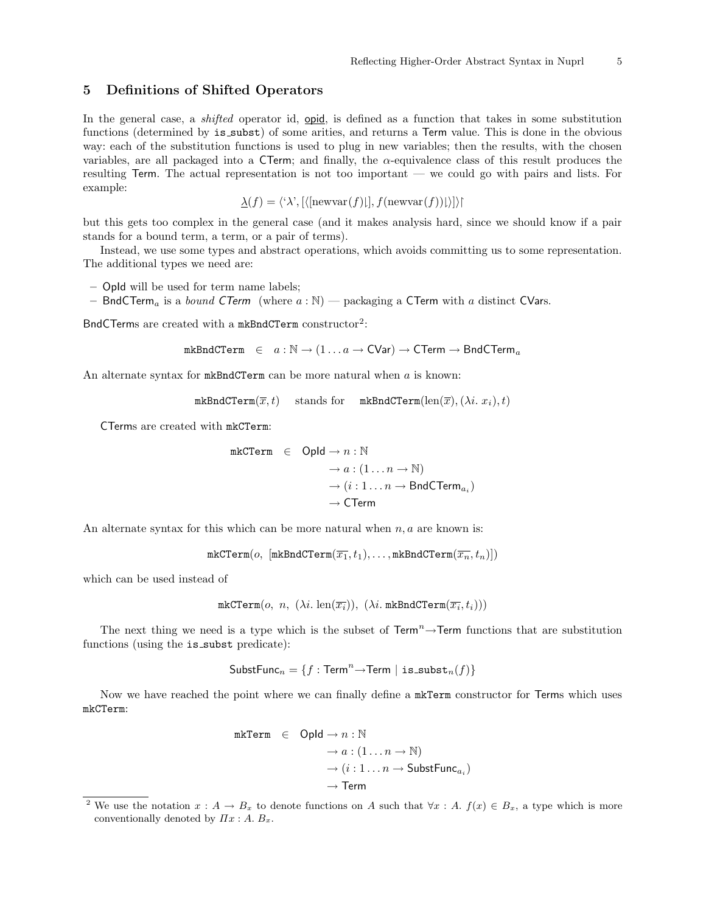## 5 Definitions of Shifted Operators

In the general case, a *shifted* operator id, one is defined as a function that takes in some substitution functions (determined by is subst) of some arities, and returns a Term value. This is done in the obvious way: each of the substitution functions is used to plug in new variables; then the results, with the chosen variables, are all packaged into a CTerm; and finally, the  $\alpha$ -equivalence class of this result produces the resulting Term. The actual representation is not too important — we could go with pairs and lists. For example:

$$
\underline{\lambda}(f) = \langle \lambda', [\langle \text{newvar}(f) \mathbf{I}], f(\text{newvar}(f)) \mathbf{I} \rangle] \rangle
$$

but this gets too complex in the general case (and it makes analysis hard, since we should know if a pair stands for a bound term, a term, or a pair of terms).

Instead, we use some types and abstract operations, which avoids committing us to some representation. The additional types we need are:

- OpId will be used for term name labels;
- BndCTerm<sub>a</sub> is a *bound CTerm* (where  $a : \mathbb{N}$ ) packaging a CTerm with a distinct CVars.

BndCTerms are created with a mkBndCTerm constructor<sup>2</sup>:

$$
\mathtt{mkBndCTerm} \in a : \mathbb{N} \to (1 \dots a \to \mathsf{CVar}) \to \mathsf{CTerm} \to \mathsf{BndCTerm}_a
$$

An alternate syntax for  $mkBndCTerm$  can be more natural when  $a$  is known:

mkBndCTerm $(\overline{x},t)$  stands for mkBndCTerm(len( $\overline{x}$ ), ( $\lambda i. x_i$ ), t)

CTerms are created with mkCTerm:

$$
\begin{array}{rcl} \texttt{mkCTerm} & \in & \textsf{Opld} \rightarrow n: \mathbb{N} \\ & \rightarrow a: (1 \dots n \rightarrow \mathbb{N}) \\ & \rightarrow (i:1 \dots n \rightarrow \textsf{BndCTerm}_{a_i}) \\ & \rightarrow \textsf{CTerm} \end{array}
$$

An alternate syntax for this which can be more natural when  $n, a$  are known is:

$$
\mathtt{mkCTerm}(o, \; [\mathtt{mkBndCTerm}(\overline{x_1}, t_1), \ldots, \mathtt{mkBndCTerm}(\overline{x_n}, t_n)])
$$

which can be used instead of

mkCTerm(
$$
o, n, (\lambda i. \operatorname{len}(\overline{x_i}))
$$
, ( $\lambda i$ . mkBndCTerm( $\overline{x_i}, t_i$ )))

The next thing we need is a type which is the subset of  $\text{Term}^n \rightarrow \text{Term}$  functions that are substitution functions (using the is subst predicate):

$$
\mathsf{SubstFunc}_n = \{f: \mathsf{Term}^n {\rightarrow} \mathsf{Term} \; | \; \mathsf{is\_subst}_n(f) \}
$$

Now we have reached the point where we can finally define a mkTerm constructor for Terms which uses mkCTerm:

```
mkrerm \in Opld \rightarrow n : \mathbb{N}\rightarrow a : (1 \dots n \rightarrow \mathbb{N})\rightarrow (i:1 \ldots n \rightarrow \mathsf{SubstFunc}_{a_i})\rightarrow Term
```
<sup>&</sup>lt;sup>2</sup> We use the notation  $x : A \to B_x$  to denote functions on A such that  $\forall x : A$ .  $f(x) \in B_x$ , a type which is more conventionally denoted by  $\Pi x : A \cdot B_x$ .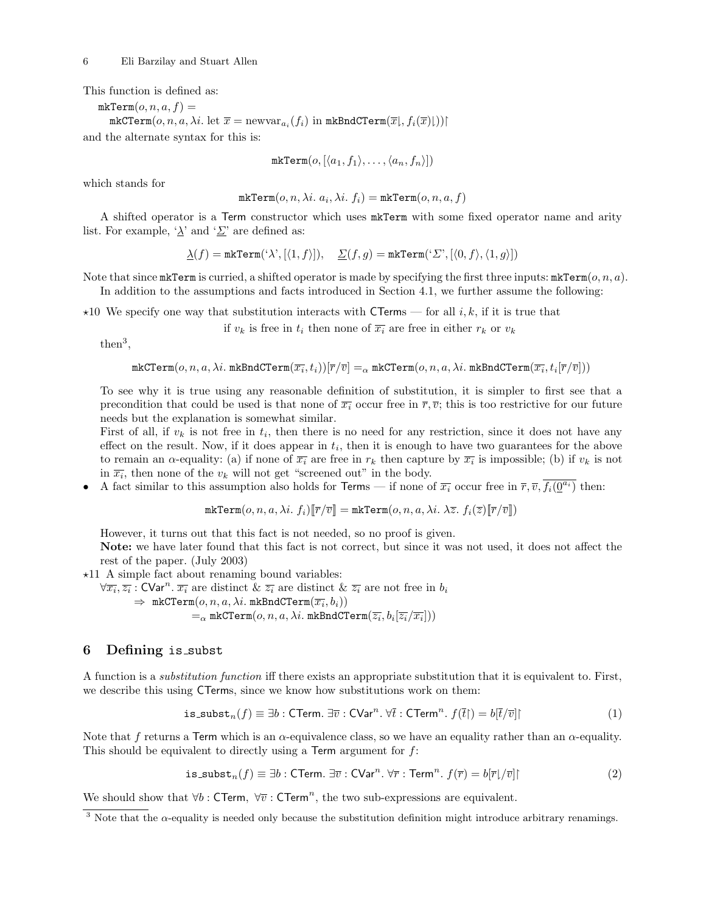This function is defined as:

 $mkrTerm(o, n, a, f) =$  $\mathtt{mkCTerm}(o,n,a,\lambda i.~\mathrm{let}~\overline{x} = \mathrm{newvar}_{a_i}(f_i)~\mathrm{in}~\mathtt{mkBndCTerm}(\overline{x}\vert, f_i(\overline{x})\vert))$  | and the alternate syntax for this is:

$$
\mathtt{mkTerm}(o, [\langle a_1, f_1 \rangle, \ldots, \langle a_n, f_n \rangle])
$$

which stands for

 ${\tt mkTerm}(o, n, \lambda i.\; a_i, \lambda i.\; f_i)={\tt mkTerm}(o, n, a, f)$ 

A shifted operator is a Term constructor which uses mkTerm with some fixed operator name and arity list. For example, ' $\lambda$ ' and ' $\Sigma$ ' are defined as:

$$
\underline{\lambda}(f) = \texttt{mkTerm}(\mathbf{X}',[\langle 1,f \rangle]), \quad \underline{\Sigma}(f,g) = \texttt{mkTerm}(\mathbf{X}',[\langle 0,f \rangle, \langle 1,g \rangle])
$$

Note that since  $\texttt{mkTerm}$  is curried, a shifted operator is made by specifying the first three inputs:  $\texttt{mkTerm}(o, n, a)$ .

In addition to the assumptions and facts introduced in Section 4.1, we further assume the following:

 $\star$ 10 We specify one way that substitution interacts with CTerms — for all i, k, if it is true that

if  $v_k$  is free in  $t_i$  then none of  $\overline{x_i}$  are free in either  $r_k$  or  $v_k$ 

then<sup>3</sup> ,

$$
\mathtt{mkCTerm}(o, n, a, \lambda i. \mathtt{mkBndCTerm}(\overline{x_i}, t_i))[\overline{r}/\overline{v}] =_{\alpha} \mathtt{mkCTerm}(o, n, a, \lambda i. \mathtt{mkBndCTerm}(\overline{x_i}, t_i[\overline{r}/\overline{v}]))
$$

To see why it is true using any reasonable definition of substitution, it is simpler to first see that a precondition that could be used is that none of  $\overline{x_i}$  occur free in  $\overline{r}, \overline{v}$ ; this is too restrictive for our future needs but the explanation is somewhat similar.

First of all, if  $v_k$  is not free in  $t_i$ , then there is no need for any restriction, since it does not have any effect on the result. Now, if it does appear in  $t_i$ , then it is enough to have two guarantees for the above to remain an  $\alpha$ -equality: (a) if none of  $\overline{x_i}$  are free in  $r_k$  then capture by  $\overline{x_i}$  is impossible; (b) if  $v_k$  is not in  $\overline{x_i}$ , then none of the  $v_k$  will not get "screened out" in the body.

• A fact similar to this assumption also holds for Terms — if none of  $\overline{x_i}$  occur free in  $\overline{r}, \overline{v}, \overline{f_i(\underline{0}^{a_i})}$  then:

$$
\texttt{mkTerm}(o, n, a, \lambda i. f_i)[\overline{\mathbf{r}}/\overline{v}] = \texttt{mkTerm}(o, n, a, \lambda i. \lambda \overline{z}. f_i(\overline{z})[\overline{\mathbf{r}}/\overline{v}])
$$

However, it turns out that this fact is not needed, so no proof is given.

Note: we have later found that this fact is not correct, but since it was not used, it does not affect the rest of the paper. (July 2003)

 $\star$ 11 A simple fact about renaming bound variables:

 $\forall \overline{x_i}, \overline{z_i}$ : CVar<sup>n</sup>.  $\overline{x_i}$  are distinct  $\& \overline{z_i}$  are distinct  $\& \overline{z_i}$  are not free in  $b_i$  $\Rightarrow$  mkCTerm $(o, n, a, \lambda i$ . mkBndCTerm $(\overline{x_i}, b_i))$ 

$$
=_{\alpha}\texttt{mkCTerm}(o,n,a,\lambda i.\texttt{mkBndCTerm}(\overline{z_i},b_i[\overline{z_i}/\overline{x_i}]))
$$

#### 6 Defining is subst

A function is a substitution function iff there exists an appropriate substitution that it is equivalent to. First, we describe this using CTerms, since we know how substitutions work on them:

is\_subst<sub>n</sub>(
$$
f
$$
)  $\equiv \exists b : \text{CTerm. } \exists \overline{v} : \text{CVar}^n \cdot \forall \overline{t} : \text{CTerm}^n \cdot f(\overline{t}) = b[\overline{t}/\overline{v}]]$  (1)

Note that f returns a Term which is an  $\alpha$ -equivalence class, so we have an equality rather than an  $\alpha$ -equality. This should be equivalent to directly using a Term argument for f:

$$
\text{is\_subst}_n(f) \equiv \exists b : \text{CTerm. } \exists \overline{v} : \text{CVar}^n. \,\forall \overline{r} : \text{Term}^n. \, f(\overline{r}) = b[\overline{r}]/\overline{v}]\n \tag{2}
$$

We should show that  $\forall b : \mathsf{CTerm}$ ,  $\forall \overline{v} : \mathsf{CTerm}^n$ , the two sub-expressions are equivalent.

<sup>&</sup>lt;sup>3</sup> Note that the  $\alpha$ -equality is needed only because the substitution definition might introduce arbitrary renamings.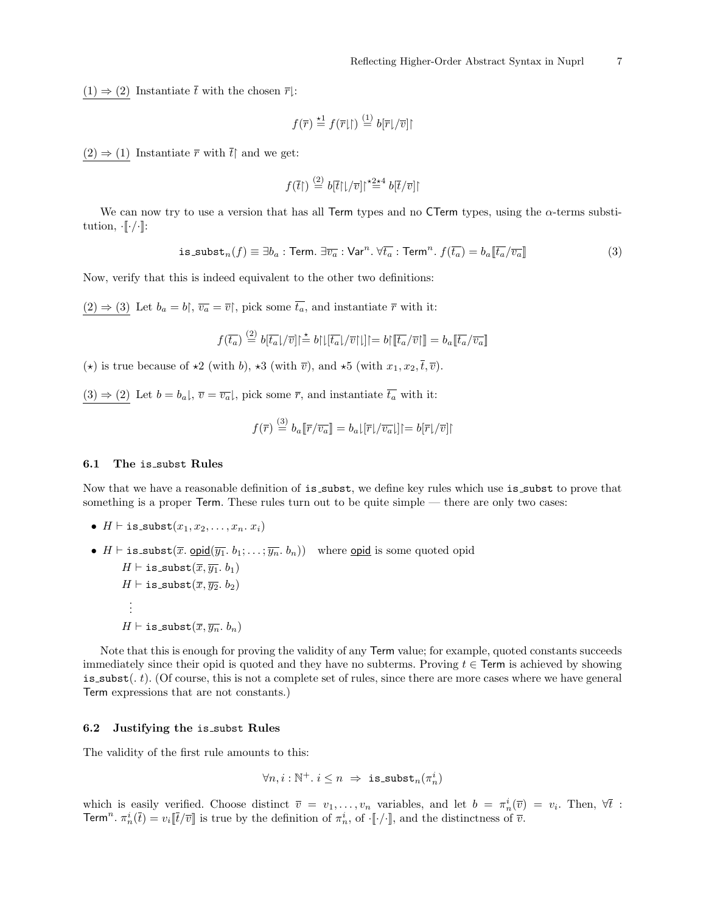$(1) \Rightarrow (2)$  Instantiate  $\overline{t}$  with the chosen  $\overline{r}$ :

$$
f(\overline{r}) \stackrel{\star 1}{=} f(\overline{r}\vert \textcolor{black}{\restriction}) \stackrel{(1)}{=} b[\overline{r}\vert/\overline{v}]\textcolor{black}{\restriction}
$$

 $(2) \Rightarrow (1)$  Instantiate  $\overline{r}$  with  $\overline{t}$  and we get:

$$
f(\overline{t}\vert)\stackrel{(2)}{=} b[\overline{t}\vert\vert/\overline{v}\vert]^{\star2\star4}\;b[\overline{t}/\overline{v}]\vert
$$

We can now try to use a version that has all Term types and no CTerm types, using the  $\alpha$ -terms substitution,  $\cdot \llbracket \cdot / \cdot \rrbracket$ :

$$
\text{is\_subst}_n(f) \equiv \exists b_a : \text{Term. } \exists \overline{v_a} : \text{Var}^n. \,\forall \overline{t_a} : \text{Term}^n. \, f(\overline{t_a}) = b_a[\overline{t_a}/\overline{v_a}]] \tag{3}
$$

Now, verify that this is indeed equivalent to the other two definitions:

 $(2) \Rightarrow (3)$  Let  $b_a = b$ ,  $\overline{v_a} = \overline{v}$ , pick some  $\overline{t_a}$ , and instantiate  $\overline{r}$  with it:

$$
f(\overline{t_a}) \stackrel{(2)}{=} b[\overline{t_a}]/\overline{v}] \upharpoonright \stackrel{*}{=} b[\lfloor [\overline{t_a}]/\overline{v}][\rfloor] = b[\lbrack \overline{t_a}/\overline{v}][\rfloor] = b_a[\overline{t_a}/\overline{v_a}][\overline{v_a}/\overline{v_a}][\overline{v_a}/\overline{v_a}][\overline{v_a}/\overline{v_a}][\overline{v_a}/\overline{v_a}][\overline{v_a}/\overline{v_a}][\overline{v_a}/\overline{v_a}][\overline{v_a}/\overline{v_a}][\overline{v_a}/\overline{v_a}][\overline{v_a}/\overline{v_b}][\overline{v_a}/\overline{v_b}][\overline{v_a}/\overline{v_b}][\overline{v_a}/\overline{v_b}][\overline{v_a}/\overline{v_b}][\overline{v_a}/\overline{v_b}][\overline{v_a}/\overline{v_b}][\overline{v_a}/\overline{v_b}][\overline{v_a}/\overline{v_b}][\overline{v_a}/\overline{v_b}][\overline{v_b}/\overline{v_b}][\overline{v_a}/\overline{v_b}][\overline{v_b}/\overline{v_b}][\overline{v_a}/\overline{v_b}][\overline{v_a}/\overline{v_b}][\overline{v_a}/\overline{v_b}][\overline{v_a}/\overline{v_b}][\overline{v_a}/\overline{v_b}][\overline{v_a}/\overline{v_b}][\overline{v_a}/\overline{v_b}][\overline{v_a}/\overline{v_b}][\overline{v_a}/\overline{v_b}][\overline{v_a}/\overline{v_b}][\overline{v_a}/\overline{v_b}][\overline{v_a}/\overline{v_b}][\overline{v_a}/\overline{v_b}][\overline{v_a}/\overline{v_b}][\overline{v_a}/\overline{v_b}][\overline{v_a}/\overline{v_b}][\overline{v_a}/\overline{v_b}][\overline{v_b}/\overline{v_b}][\overline{v_b}/\overline{v_b}][\overline{v_b}/\overline{v_b}][\overline{v_b}/\overline{v_b}][\overline{v_b}/\overline{v_b}][\overline{v_b}/
$$

( $\star$ ) is true because of  $\star$ 2 (with b),  $\star$ 3 (with  $\overline{v}$ ), and  $\star$ 5 (with  $x_1, x_2, \overline{t}, \overline{v}$ ).

 $(3) \Rightarrow (2)$  Let  $b = b_a$ ,  $\overline{v} = \overline{v_a}$ , pick some  $\overline{r}$ , and instantiate  $\overline{t_a}$  with it:

$$
f(\overline{r}) \stackrel{\text{(3)}}{=} b_a \llbracket \overline{r}/\overline{v_a} \rrbracket = b_a \lfloor |\overline{r}|/\overline{v_a} \rfloor | = b \llbracket \overline{r} \rfloor/\overline{v} \rrbracket |
$$

#### 6.1 The is subst Rules

Now that we have a reasonable definition of is subst, we define key rules which use is subst to prove that something is a proper Term. These rules turn out to be quite simple — there are only two cases:

- $H \vdash \texttt{is\_subst}(x_1, x_2, \ldots, x_n, x_i)$
- $H \vdash \text{is } \textsf{subst}(\overline{x}, \textsf{opid}(\overline{y_1}, b_1; \ldots; \overline{y_n}, b_n))$  where <u>opid</u> is some quoted opid  $H \vdash \texttt{is\_subst}(\overline{x}, \overline{y_1}, b_1)$  $H \vdash \texttt{is\_subst}(\overline{x}, \overline{y_2}, b_2)$ . . .  $H \vdash \texttt{is\_subst}(\overline{x}, \overline{y_n}, b_n)$

Note that this is enough for proving the validity of any Term value; for example, quoted constants succeeds immediately since their opid is quoted and they have no subterms. Proving  $t \in$  Term is achieved by showing is subst( $i$ , t). (Of course, this is not a complete set of rules, since there are more cases where we have general Term expressions that are not constants.)

#### 6.2 Justifying the is subst Rules

The validity of the first rule amounts to this:

$$
\forall n, i : \mathbb{N}^+. i \leq n \implies \text{is \,} \text{subst}_n(\pi_n^i)
$$

which is easily verified. Choose distinct  $\overline{v} = v_1, \ldots, v_n$  variables, and let  $b = \pi_n^i(\overline{v}) = v_i$ . Then,  $\forall \overline{t}$ : Term<sup>n</sup>.  $\pi_n^i(\bar{t}) = v_i[\bar{t}/\bar{v}]$  is true by the definition of  $\pi_n^i$ , of  $[\cdot/\cdot]$ , and the distinctness of  $\bar{v}$ .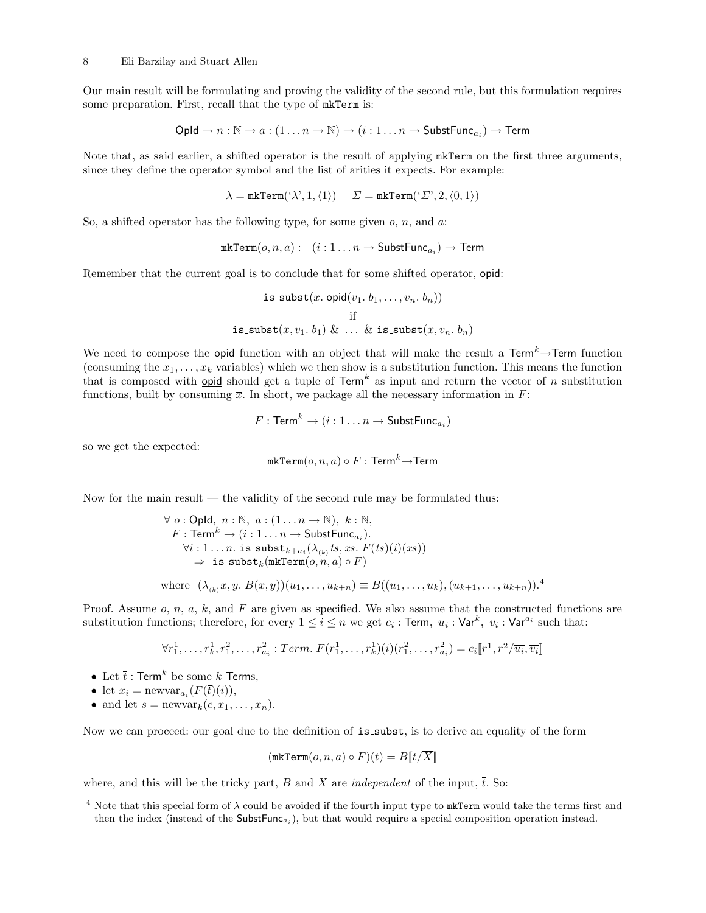Our main result will be formulating and proving the validity of the second rule, but this formulation requires some preparation. First, recall that the type of mkTerm is:

$$
\mathsf{Opld} \to n : \mathbb{N} \to a : (1 \dots n \to \mathbb{N}) \to (i : 1 \dots n \to \mathsf{SubstFunc}_{a_i}) \to \mathsf{Term}
$$

Note that, as said earlier, a shifted operator is the result of applying mkTerm on the first three arguments, since they define the operator symbol and the list of arities it expects. For example:

$$
\underline{\lambda} = \texttt{mkTerm}(\texttt{`}\lambda \texttt{'}, 1, \langle 1 \rangle) \quad \underline{\Sigma} = \texttt{mkTerm}(\texttt{`}\Sigma \texttt{'}, 2, \langle 0, 1 \rangle)
$$

So, a shifted operator has the following type, for some given  $o, n$ , and  $a$ :

$$
\mathtt{mkTerm}(o,n,a): \quad (i:1\ldots n\rightarrow \mathsf{SubstFunc}_{a_i})\rightarrow \mathsf{Term}
$$

Remember that the current goal is to conclude that for some shifted operator, opid:

is.subst(
$$
\overline{x}
$$
. opid( $\overline{v_1}$ ,  $b_1$ ,..., $\overline{v_n}$ ,  $b_n$ ))  
if  
is-subst( $\overline{x}$ , $\overline{v_1}$ ,  $b_1$ ) & ... & is-subst( $\overline{x}$ , $\overline{v_n}$ ,  $b_n$ )

We need to compose the **opid** function with an object that will make the result a  $\text{Term}^k \rightarrow \text{Term}$  function (consuming the  $x_1, \ldots, x_k$  variables) which we then show is a substitution function. This means the function that is composed with **opid** should get a tuple of  $\text{Term}^k$  as input and return the vector of n substitution functions, built by consuming  $\overline{x}$ . In short, we package all the necessary information in F:

$$
F: \mathsf{Term}^k \to (i:1 \ldots n \to \mathsf{SubstFunc}_{a_i})
$$

so we get the expected:

$$
\mathtt{mkTerm}(o,n,a) \circ F : \mathsf{Term}^k {\rightarrow} \mathsf{Term}
$$

Now for the main result — the validity of the second rule may be formulated thus:

$$
\forall o: \text{Opld}, n: \mathbb{N}, a: (1...n \to \mathbb{N}), k: \mathbb{N},
$$
  
\n
$$
F: \text{Term}^k \to (i: 1...n \to \text{SubstFunc}_{a_i}).
$$
  
\n
$$
\forall i: 1...n. \text{ is } \text{subst}_{k+a_i}(\lambda_{(k)}\text{ts}, xs. F(ts)(i)(xs))
$$
  
\n
$$
\Rightarrow \text{ is } \text{subst}_{k}(\text{mkTerm}(o, n, a) \circ F)
$$
  
\nwhere  $(\lambda_{(k)}x, y, B(x, y))(u_1, ..., u_{k+n}) \equiv B((u_1, ..., u_k), (u_{k+1}, ..., u_{k+n})).^{4}$ 

Proof. Assume  $o, n, a, k$ , and F are given as specified. We also assume that the constructed functions are substitution functions; therefore, for every  $1 \le i \le n$  we get  $c_i$  : Term,  $\overline{u_i}$  :  $\mathsf{Var}^{k}$ ,  $\overline{v_i}$  :  $\mathsf{Var}^{a_i}$  such that:

$$
\forall r_1^1, \dots, r_k^1, r_1^2, \dots, r_{a_i}^2 : Term. \ F(r_1^1, \dots, r_k^1)(i)(r_1^2, \dots, r_{a_i}^2) = c_i \overline{[r^1, r^2/\overline{u_i}, \overline{v_i}]}
$$

- Let  $\overline{t}$  : Term<sup>k</sup> be some k Terms,
- let  $\overline{x_i} = \text{newvar}_{a_i}(F(\overline{t})(i)),$
- and let  $\overline{s} = \text{newvar}_k(\overline{c}, \overline{x_1}, \ldots, \overline{x_n}).$

Now we can proceed: our goal due to the definition of  $i$ s subst, is to derive an equality of the form

$$
(\mathtt{mkTerm}(o, n, a) \circ F)(\overline{t}) = B[\overline{t}/\overline{X}]]
$$

where, and this will be the tricky part, B and  $\overline{X}$  are *independent* of the input,  $\overline{t}$ . So:

<sup>&</sup>lt;sup>4</sup> Note that this special form of  $\lambda$  could be avoided if the fourth input type to  $mkTerm$  would take the terms first and then the index (instead of the  $SubstFunc_{a_i}$ ), but that would require a special composition operation instead.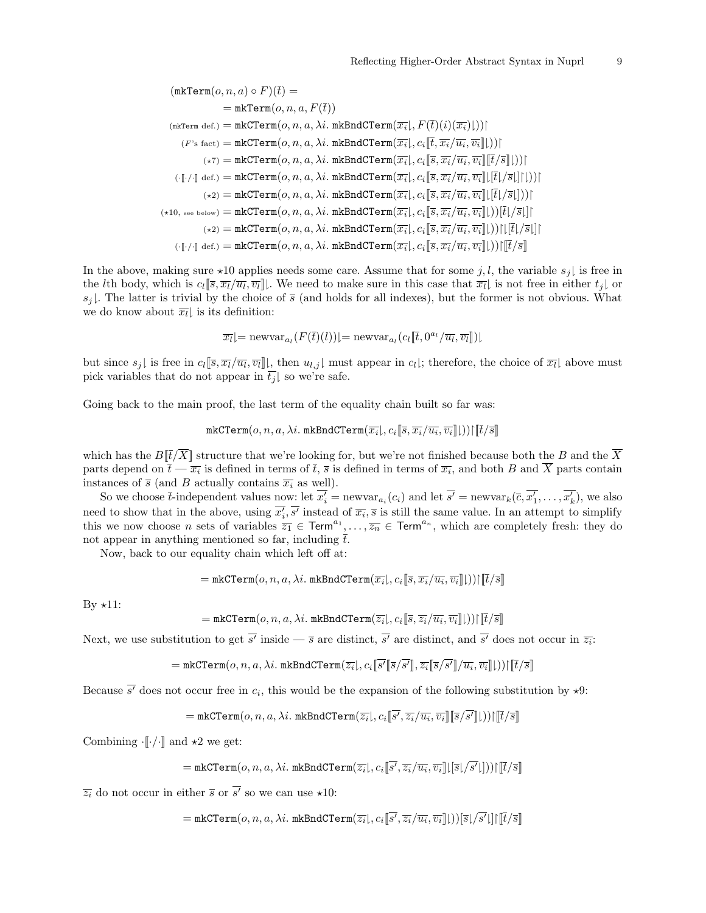$$
(\mathtt{mkTerm}(o, n, a) \circ F)(\overline{t}) = \\ = \mathtt{mkTerm}(o, n, a, F(\overline{t})) \\ (\mathtt{mkTerm\,def.}) = \mathtt{mkCTerm}(o, n, a, \lambda i. \mathtt{mkEndCTerm}(\overline{x_i} |, F(\overline{t})(i)(\overline{x_i})|)) | \\ (F's fact) = \mathtt{mkCTerm}(o, n, a, \lambda i. \mathtt{mkEndCTerm}(\overline{x_i} |, c_i[\overline{t}, \overline{x_i}/\overline{u_i}, \overline{v_i}]|)) | \\ (\star \tau) = \mathtt{mkCTerm}(o, n, a, \lambda i. \mathtt{mkEndCTerm}(\overline{x_i} |, c_i[\overline{s}, \overline{x_i}/\overline{u_i}, \overline{v_i}]||\overline{t}/\overline{s}||)) | \\ (\cdot [\cdot] \cdot] \det.) = \mathtt{mkCTerm}(o, n, a, \lambda i. \mathtt{mkEndCTerm}(\overline{x_i} |, c_i[\overline{s}, \overline{x_i}/\overline{u_i}, \overline{v_i}]||\overline{t}|\overline{t}/\overline{s}||)) | \\ (\star 2) = \mathtt{mkCTerm}(o, n, a, \lambda i. \mathtt{mkEndCTerm}(\overline{x_i} |, c_i[\overline{s}, \overline{x_i}/\overline{u_i}, \overline{v_i}]||\overline{t}|\overline{t}/\overline{s}||)) | \\ (\star 10, \mathtt{see below}) = \mathtt{mkCTerm}(o, n, a, \lambda i. \mathtt{mkEndCTerm}(\overline{x_i} |, c_i[\overline{s}, \overline{x_i}/\overline{u_i}, \overline{v_i}]|)) |\overline{t}/\overline{s}|| | \\ (\star 2) = \mathtt{mkCTerm}(o, n, a, \lambda i. \mathtt{mkEndCTerm}(\overline{x_i} |, c_i[\overline{s}, \overline{x_i}/\overline{u_i}, \overline{v_i}]|)) ||[\overline{t}/\overline{s}|| | \\ (\cdot [\cdot] \cdot] \det.) = \mathtt{mkCTerm}(o, n, a, \lambda i. \mathtt{mkEndCTerm}(\overline{x_i} |, c_i[\overline{s}, \overline{x_i}/\overline{u_i}, \overline{v_i}]|)) ||[\overline{t}/\overline{s}||
$$

In the above, making sure  $\star 10$  applies needs some care. Assume that for some j, l, the variable  $s_i$  is free in the *l*th body, which is  $c_l[\overline{s}, \overline{x_l}/\overline{u_l}, \overline{v_l}]$ . We need to make sure in this case that  $\overline{x_l}$  is not free in either  $t_j$  or  $s_j$ . The latter is trivial by the choice of  $\overline{s}$  (and holds for all indexes), but the former is not obvious. What we do know about  $\overline{x_l}$  is its definition:

$$
\overline{x_l}| = \text{newvar}_{a_l}(F(\overline{t})(l))| = \text{newvar}_{a_l}(c_l[\overline{t}, 0^{a_l}/\overline{u_l}, \overline{v_l}])|
$$

but since  $s_j$  is free in  $c_l[\overline{s}, \overline{x_l}/\overline{u_l}, \overline{v_l}]$ , then  $u_{l,j}$  must appear in  $c_l$ ; therefore, the choice of  $\overline{x_l}$  above must pick variables that do not appear in  $t_j$  so we're safe.

Going back to the main proof, the last term of the equality chain built so far was:

$$
\mathtt{mkCTerm}(o, n, a, \lambda i. \mathtt{mkBndCTerm}(\overline{x_i} \vert, c_i \lbrack\!\lbrack \overline{s}, \overline{x_i}/\overline{u_i}, \overline{v_i} \rbrack\!\rbrack))\lbrack\lbrack\overline{t}/\overline{s}\rbrack\!\rbrack
$$

which has the  $B[\bar{t}/\overline{X}]$  structure that we're looking for, but we're not finished because both the B and the  $\overline{X}$ parts depend on  $\overline{t} - \overline{x_i}$  is defined in terms of  $\overline{t}$ ,  $\overline{s}$  is defined in terms of  $\overline{x_i}$ , and both B and X parts contain instances of  $\overline{s}$  (and B actually contains  $\overline{x_i}$  as well).

So we choose  $\overline{t}$ -independent values now: let  $x_i' = \text{newvar}_{a_i}(c_i)$  and let  $s' = \text{newvar}_k(\overline{c}, x_1', \dots, x_k')$ , we also need to show that in the above, using  $x'_i$ , s' instead of  $\overline{x_i}$ , s is still the same value. In an attempt to simplify this we now choose *n* sets of variables  $\overline{z_1} \in \text{Term}^{a_1}, \ldots, \overline{z_n} \in \text{Term}^{a_n}$ , which are completely fresh: they do not appear in anything mentioned so far, including  $\overline{t}$ .

Now, back to our equality chain which left off at:

$$
= \mathtt{mkCTerm}(o, n, a, \lambda i.\ \mathtt{mkBndCTerm}(\overline{x_i}\mathord{\downharpoonright}, c_i \mathopen{\lbrack\!\lbrack\overline{s}, \overline{x_i}/\overline{u_i}, \overline{v_i}\rbrack\!\rbrack}))\mathclose{\lbrack\!\lbrack\overline{t}/\overline{s}\rbrack\!\rbrack}
$$

By  $\star 11$ :

$$
= \mathtt{mkCTerm}(o, n, a, \lambda i.\ \mathtt{mkBndCTerm}(\overline{z_i}\vert, c_i \llbracket \overline{s}, \overline{z_i}/\overline{u_i}, \overline{v_i} \rrbracket \rvert))\lceil \llbracket \overline{t}/\overline{s} \rrbracket
$$

Next, we use substitution to get s' inside —  $\bar{s}$  are distinct, s' are distinct, and s' does not occur in  $\bar{z}_i$ :

$$
=\texttt{mkCTerm}(o,n,a,\lambda i.\;\texttt{mkBndCTerm}(\overline{z_i}\text{I},c_i\mathbf{[}\overline{s'}\mathbf{[}\overline{s}/\overline{s'}\mathbf{I}],\overline{z_i}\mathbf{[}\overline{s}/\overline{s'}\mathbf{I}]/\overline{u_i},\overline{v_i}\mathbf{I}\text{]})))\mathbf{[}\mathbf{[}\overline{t}/\overline{s}\mathbf{I}]
$$

Because s' does not occur free in  $c_i$ , this would be the expansion of the following substitution by  $\star 9$ :

 $\mathcal{L}=\mathtt{mkCTerm}(o,n,a,\lambda i.~\mathtt{mkBndCTerm}(\overline{z_i}\vert,c_i\mathopen{\lbrack\!\lbrack}s',\overline{z_i}/\overline{u_i},\overline{v_i}\mathclose{\rbrack\!\rbrack}\mathclose{\lbrack\!\rbrack}s/s'\mathclose{\rbrack\!\rbrack}))\lbrack\overline{\lbrack t}/\overline{s}\rbrack\!\rbrack}$ 

Combining  $\cdot$  [ $\cdot$ / $\cdot$ ] and  $\star$ 2 we get:

$$
= \mathtt{mkCTerm}(o, n, a, \lambda i. \mathtt{mkBndCTerm}(\overline{z_i} |, c_i \overline{[\![ s', \overline{z_i}/\overline{u_i}, \overline{v_i} ]\!]} \sqcup [\overline{s} \sqcup \overline{s'} \sqcup \ \hspace{-1.5pt}]) \sqcap [\overline{t}/\overline{s} ]
$$

 $\overline{z_i}$  do not occur in either  $\overline{s}$  or s' so we can use  $\star 10$ :

 $\mathcal{L}=\mathtt{mkCTerm}(o,n,a,\lambda i.~\mathtt{mkBndCTerm}(\overline{z_i}\vert,c_i\mathbf{[\![} s',\overline{z_i}/\overline{u_i},\overline{v_i}\mathbf{]\!]\!}\vert))|\overline{s}\vert/s'\vert]\vert\vert\overline{t}/\overline{s}\mathbf{]\!}\vert$